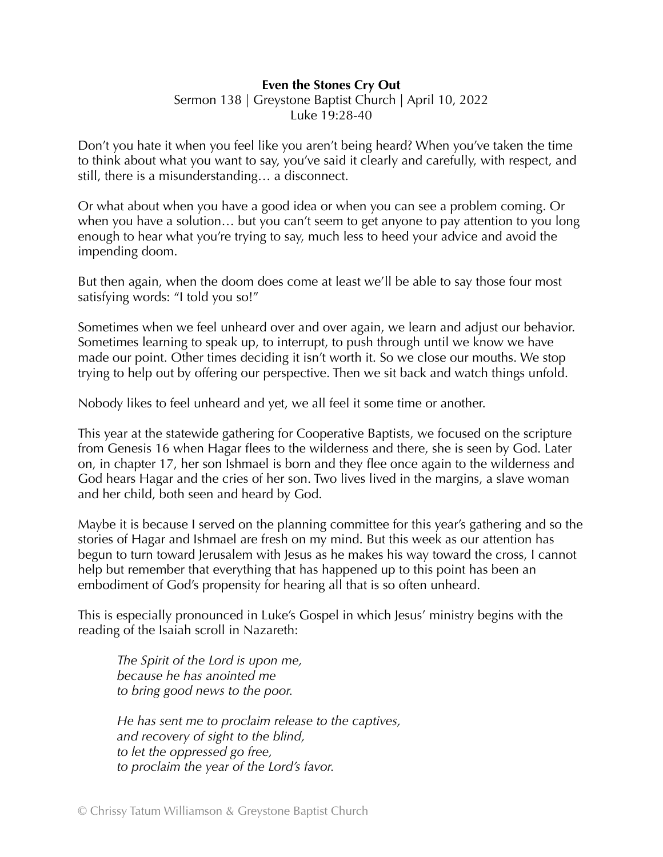## **Even the Stones Cry Out**

Sermon 138 | Greystone Baptist Church | April 10, 2022 Luke 19:28-40

Don't you hate it when you feel like you aren't being heard? When you've taken the time to think about what you want to say, you've said it clearly and carefully, with respect, and still, there is a misunderstanding… a disconnect.

Or what about when you have a good idea or when you can see a problem coming. Or when you have a solution… but you can't seem to get anyone to pay attention to you long enough to hear what you're trying to say, much less to heed your advice and avoid the impending doom.

But then again, when the doom does come at least we'll be able to say those four most satisfying words: "I told you so!"

Sometimes when we feel unheard over and over again, we learn and adjust our behavior. Sometimes learning to speak up, to interrupt, to push through until we know we have made our point. Other times deciding it isn't worth it. So we close our mouths. We stop trying to help out by offering our perspective. Then we sit back and watch things unfold.

Nobody likes to feel unheard and yet, we all feel it some time or another.

This year at the statewide gathering for Cooperative Baptists, we focused on the scripture from Genesis 16 when Hagar flees to the wilderness and there, she is seen by God. Later on, in chapter 17, her son Ishmael is born and they flee once again to the wilderness and God hears Hagar and the cries of her son. Two lives lived in the margins, a slave woman and her child, both seen and heard by God.

Maybe it is because I served on the planning committee for this year's gathering and so the stories of Hagar and Ishmael are fresh on my mind. But this week as our attention has begun to turn toward Jerusalem with Jesus as he makes his way toward the cross, I cannot help but remember that everything that has happened up to this point has been an embodiment of God's propensity for hearing all that is so often unheard.

This is especially pronounced in Luke's Gospel in which Jesus' ministry begins with the reading of the Isaiah scroll in Nazareth:

*The Spirit of the Lord is upon me, because he has anointed me to bring good news to the poor.* 

*He has sent me to proclaim release to the captives, and recovery of sight to the blind, to let the oppressed go free, to proclaim the year of the Lord's favor.*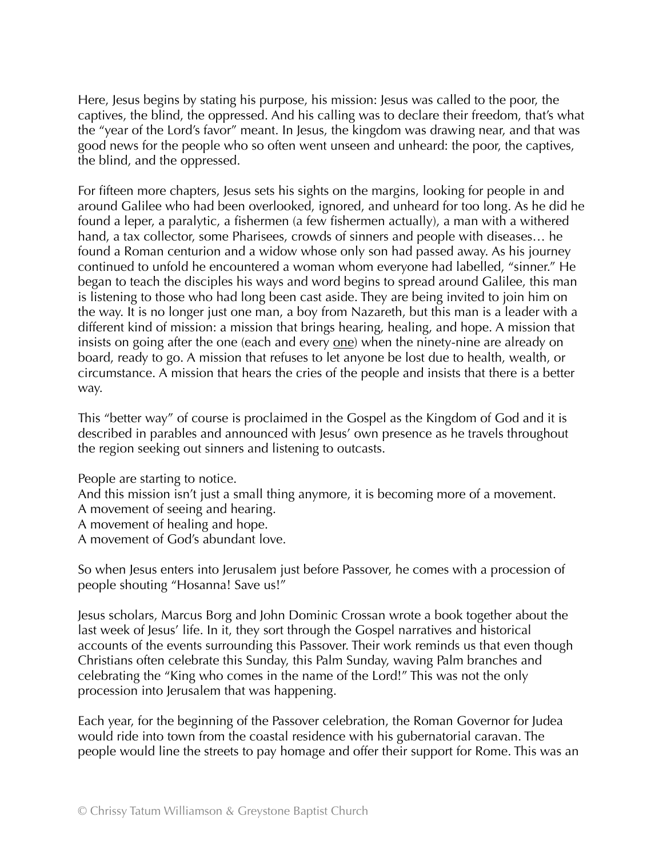Here, Jesus begins by stating his purpose, his mission: Jesus was called to the poor, the captives, the blind, the oppressed. And his calling was to declare their freedom, that's what the "year of the Lord's favor" meant. In Jesus, the kingdom was drawing near, and that was good news for the people who so often went unseen and unheard: the poor, the captives, the blind, and the oppressed.

For fifteen more chapters, Jesus sets his sights on the margins, looking for people in and around Galilee who had been overlooked, ignored, and unheard for too long. As he did he found a leper, a paralytic, a fishermen (a few fishermen actually), a man with a withered hand, a tax collector, some Pharisees, crowds of sinners and people with diseases… he found a Roman centurion and a widow whose only son had passed away. As his journey continued to unfold he encountered a woman whom everyone had labelled, "sinner." He began to teach the disciples his ways and word begins to spread around Galilee, this man is listening to those who had long been cast aside. They are being invited to join him on the way. It is no longer just one man, a boy from Nazareth, but this man is a leader with a different kind of mission: a mission that brings hearing, healing, and hope. A mission that insists on going after the one (each and every <u>one</u>) when the ninety-nine are already on board, ready to go. A mission that refuses to let anyone be lost due to health, wealth, or circumstance. A mission that hears the cries of the people and insists that there is a better way.

This "better way" of course is proclaimed in the Gospel as the Kingdom of God and it is described in parables and announced with Jesus' own presence as he travels throughout the region seeking out sinners and listening to outcasts.

People are starting to notice.

And this mission isn't just a small thing anymore, it is becoming more of a movement.

A movement of seeing and hearing.

A movement of healing and hope.

A movement of God's abundant love.

So when Jesus enters into Jerusalem just before Passover, he comes with a procession of people shouting "Hosanna! Save us!"

Jesus scholars, Marcus Borg and John Dominic Crossan wrote a book together about the last week of Jesus' life. In it, they sort through the Gospel narratives and historical accounts of the events surrounding this Passover. Their work reminds us that even though Christians often celebrate this Sunday, this Palm Sunday, waving Palm branches and celebrating the "King who comes in the name of the Lord!" This was not the only procession into Jerusalem that was happening.

Each year, for the beginning of the Passover celebration, the Roman Governor for Judea would ride into town from the coastal residence with his gubernatorial caravan. The people would line the streets to pay homage and offer their support for Rome. This was an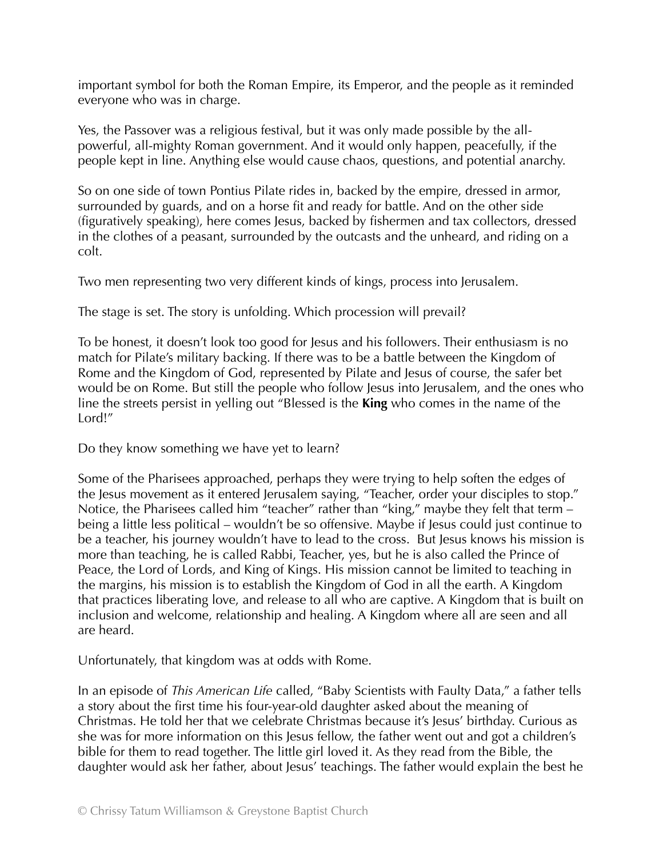important symbol for both the Roman Empire, its Emperor, and the people as it reminded everyone who was in charge.

Yes, the Passover was a religious festival, but it was only made possible by the allpowerful, all-mighty Roman government. And it would only happen, peacefully, if the people kept in line. Anything else would cause chaos, questions, and potential anarchy.

So on one side of town Pontius Pilate rides in, backed by the empire, dressed in armor, surrounded by guards, and on a horse fit and ready for battle. And on the other side (figuratively speaking), here comes Jesus, backed by fishermen and tax collectors, dressed in the clothes of a peasant, surrounded by the outcasts and the unheard, and riding on a colt.

Two men representing two very different kinds of kings, process into Jerusalem.

The stage is set. The story is unfolding. Which procession will prevail?

To be honest, it doesn't look too good for Jesus and his followers. Their enthusiasm is no match for Pilate's military backing. If there was to be a battle between the Kingdom of Rome and the Kingdom of God, represented by Pilate and Jesus of course, the safer bet would be on Rome. But still the people who follow Jesus into Jerusalem, and the ones who line the streets persist in yelling out "Blessed is the **King** who comes in the name of the Lord!"

Do they know something we have yet to learn?

Some of the Pharisees approached, perhaps they were trying to help soften the edges of the Jesus movement as it entered Jerusalem saying, "Teacher, order your disciples to stop." Notice, the Pharisees called him "teacher" rather than "king," maybe they felt that term – being a little less political – wouldn't be so offensive. Maybe if Jesus could just continue to be a teacher, his journey wouldn't have to lead to the cross. But Jesus knows his mission is more than teaching, he is called Rabbi, Teacher, yes, but he is also called the Prince of Peace, the Lord of Lords, and King of Kings. His mission cannot be limited to teaching in the margins, his mission is to establish the Kingdom of God in all the earth. A Kingdom that practices liberating love, and release to all who are captive. A Kingdom that is built on inclusion and welcome, relationship and healing. A Kingdom where all are seen and all are heard.

Unfortunately, that kingdom was at odds with Rome.

In an episode of *This American Life* called, "Baby Scientists with Faulty Data," a father tells a story about the first time his four-year-old daughter asked about the meaning of Christmas. He told her that we celebrate Christmas because it's Jesus' birthday. Curious as she was for more information on this Jesus fellow, the father went out and got a children's bible for them to read together. The little girl loved it. As they read from the Bible, the daughter would ask her father, about Jesus' teachings. The father would explain the best he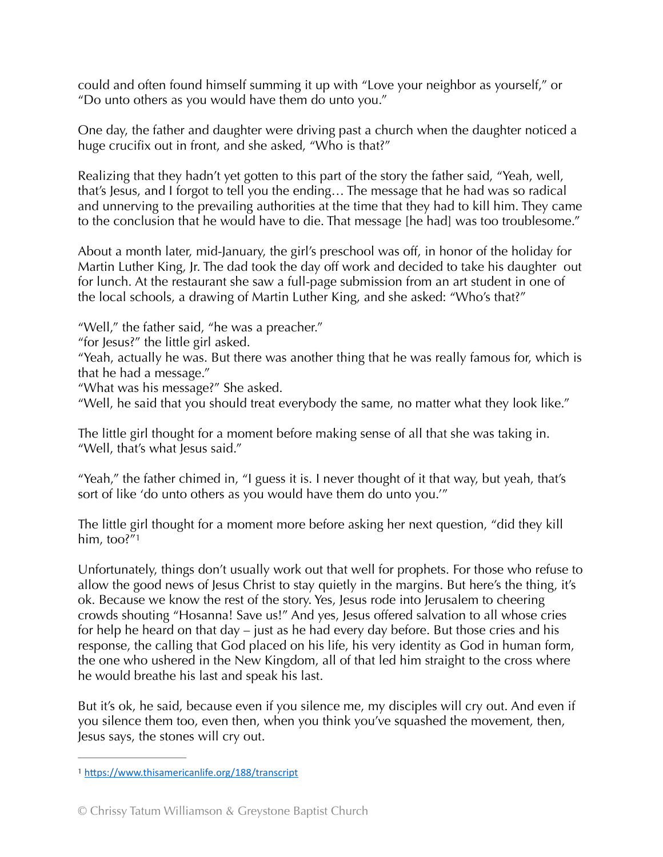could and often found himself summing it up with "Love your neighbor as yourself," or "Do unto others as you would have them do unto you."

One day, the father and daughter were driving past a church when the daughter noticed a huge crucifix out in front, and she asked, "Who is that?"

Realizing that they hadn't yet gotten to this part of the story the father said, "Yeah, well, that's Jesus, and I forgot to tell you the ending… The message that he had was so radical and unnerving to the prevailing authorities at the time that they had to kill him. They came to the conclusion that he would have to die. That message [he had] was too troublesome."

About a month later, mid-January, the girl's preschool was off, in honor of the holiday for Martin Luther King, Jr. The dad took the day off work and decided to take his daughter out for lunch. At the restaurant she saw a full-page submission from an art student in one of the local schools, a drawing of Martin Luther King, and she asked: "Who's that?"

"Well," the father said, "he was a preacher."

"for Jesus?" the little girl asked.

"Yeah, actually he was. But there was another thing that he was really famous for, which is that he had a message."

"What was his message?" She asked.

"Well, he said that you should treat everybody the same, no matter what they look like."

The little girl thought for a moment before making sense of all that she was taking in. "Well, that's what lesus said."

"Yeah," the father chimed in, "I guess it is. I never thought of it that way, but yeah, that's sort of like 'do unto others as you would have them do unto you.'"

<span id="page-3-1"></span>The little girl thought for a moment more before asking her next question, "did they kill him, too?["1](#page-3-0)

Unfortunately, things don't usually work out that well for prophets. For those who refuse to allow the good news of Jesus Christ to stay quietly in the margins. But here's the thing, it's ok. Because we know the rest of the story. Yes, Jesus rode into Jerusalem to cheering crowds shouting "Hosanna! Save us!" And yes, Jesus offered salvation to all whose cries for help he heard on that day – just as he had every day before. But those cries and his response, the calling that God placed on his life, his very identity as God in human form, the one who ushered in the New Kingdom, all of that led him straight to the cross where he would breathe his last and speak his last.

But it's ok, he said, because even if you silence me, my disciples will cry out. And even if you silence them too, even then, when you think you've squashed the movement, then, Jesus says, the stones will cry out.

<span id="page-3-0"></span><sup>&</sup>lt;sup>1</sup> <https://www.thisamericanlife.org/188/transcript>